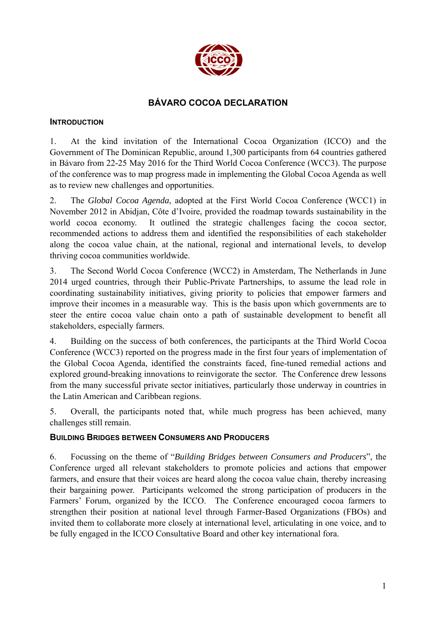

# **BÁVARO COCOA DECLARATION**

#### **INTRODUCTION**

1. At the kind invitation of the International Cocoa Organization (ICCO) and the Government of The Dominican Republic, around 1,300 participants from 64 countries gathered in Bávaro from 22-25 May 2016 for the Third World Cocoa Conference (WCC3). The purpose of the conference was to map progress made in implementing the Global Cocoa Agenda as well as to review new challenges and opportunities.

2. The *Global Cocoa Agenda*, adopted at the First World Cocoa Conference (WCC1) in November 2012 in Abidjan, Côte d'Ivoire, provided the roadmap towards sustainability in the world cocoa economy. It outlined the strategic challenges facing the cocoa sector, recommended actions to address them and identified the responsibilities of each stakeholder along the cocoa value chain, at the national, regional and international levels, to develop thriving cocoa communities worldwide.

3. The Second World Cocoa Conference (WCC2) in Amsterdam, The Netherlands in June 2014 urged countries, through their Public-Private Partnerships, to assume the lead role in coordinating sustainability initiatives, giving priority to policies that empower farmers and improve their incomes in a measurable way. This is the basis upon which governments are to steer the entire cocoa value chain onto a path of sustainable development to benefit all stakeholders, especially farmers.

4. Building on the success of both conferences, the participants at the Third World Cocoa Conference (WCC3) reported on the progress made in the first four years of implementation of the Global Cocoa Agenda, identified the constraints faced, fine-tuned remedial actions and explored ground-breaking innovations to reinvigorate the sector. The Conference drew lessons from the many successful private sector initiatives, particularly those underway in countries in the Latin American and Caribbean regions.

5. Overall, the participants noted that, while much progress has been achieved, many challenges still remain.

## **BUILDING BRIDGES BETWEEN CONSUMERS AND PRODUCERS**

6. Focussing on the theme of "*Building Bridges between Consumers and Producers*", the Conference urged all relevant stakeholders to promote policies and actions that empower farmers, and ensure that their voices are heard along the cocoa value chain, thereby increasing their bargaining power. Participants welcomed the strong participation of producers in the Farmers' Forum, organized by the ICCO. The Conference encouraged cocoa farmers to strengthen their position at national level through Farmer-Based Organizations (FBOs) and invited them to collaborate more closely at international level, articulating in one voice, and to be fully engaged in the ICCO Consultative Board and other key international fora.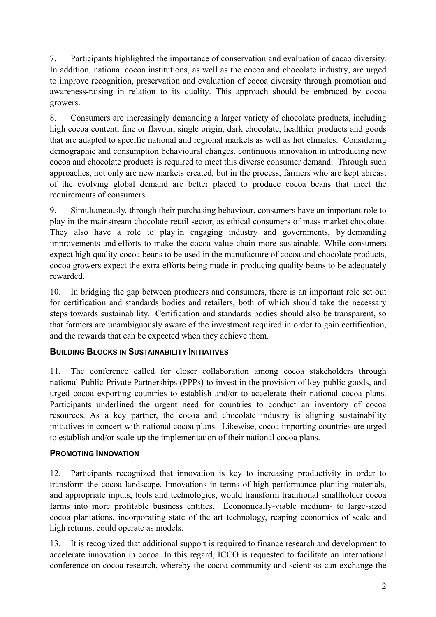7. Participants highlighted the importance of conservation and evaluation of cacao diversity. In addition, national cocoa institutions, as well as the cocoa and chocolate industry, are urged to improve recognition, preservation and evaluation of cocoa diversity through promotion and awareness-raising in relation to its quality. This approach should be embraced by cocoa growers.

8. Consumers are increasingly demanding a larger variety of chocolate products, including high cocoa content, fine or flavour, single origin, dark chocolate, healthier products and goods that are adapted to specific national and regional markets as well as hot climates. Considering demographic and consumption behavioural changes, continuous innovation in introducing new cocoa and chocolate products is required to meet this diverse consumer demand. Through such approaches, not only are new markets created, but in the process, farmers who are kept abreast of the evolving global demand are better placed to produce cocoa beans that meet the requirements of consumers.

9. Simultaneously, through their purchasing behaviour, consumers have an important role to play in the mainstream chocolate retail sector, as ethical consumers of mass market chocolate. They also have a role to play in engaging industry and governments, by demanding improvements and efforts to make the cocoa value chain more sustainable. While consumers expect high quality cocoa beans to be used in the manufacture of cocoa and chocolate products, cocoa growers expect the extra efforts being made in producing quality beans to be adequately rewarded.

10. In bridging the gap between producers and consumers, there is an important role set out for certification and standards bodies and retailers, both of which should take the necessary steps towards sustainability. Certification and standards bodies should also be transparent, so that farmers are unambiguously aware of the investment required in order to gain certification, and the rewards that can be expected when they achieve them.

# **BUILDING BLOCKS IN SUSTAINABILITY INITIATIVES**

11. The conference called for closer collaboration among cocoa stakeholders through national Public-Private Partnerships (PPPs) to invest in the provision of key public goods, and urged cocoa exporting countries to establish and/or to accelerate their national cocoa plans. Participants underlined the urgent need for countries to conduct an inventory of cocoa resources. As a key partner, the cocoa and chocolate industry is aligning sustainability initiatives in concert with national cocoa plans. Likewise, cocoa importing countries are urged to establish and/or scale-up the implementation of their national cocoa plans.

## **PROMOTING INNOVATION**

12. Participants recognized that innovation is key to increasing productivity in order to transform the cocoa landscape. Innovations in terms of high performance planting materials, and appropriate inputs, tools and technologies, would transform traditional smallholder cocoa farms into more profitable business entities. Economically-viable medium- to large-sized cocoa plantations, incorporating state of the art technology, reaping economies of scale and high returns, could operate as models.

13. It is recognized that additional support is required to finance research and development to accelerate innovation in cocoa. In this regard, ICCO is requested to facilitate an international conference on cocoa research, whereby the cocoa community and scientists can exchange the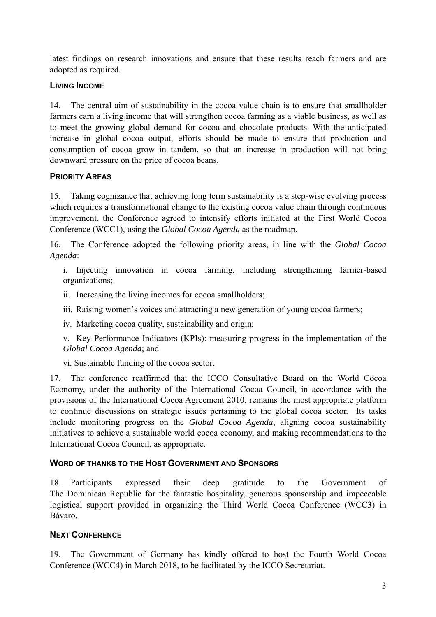latest findings on research innovations and ensure that these results reach farmers and are adopted as required.

# **LIVING INCOME**

14. The central aim of sustainability in the cocoa value chain is to ensure that smallholder farmers earn a living income that will strengthen cocoa farming as a viable business, as well as to meet the growing global demand for cocoa and chocolate products. With the anticipated increase in global cocoa output, efforts should be made to ensure that production and consumption of cocoa grow in tandem, so that an increase in production will not bring downward pressure on the price of cocoa beans.

# **PRIORITY AREAS**

15. Taking cognizance that achieving long term sustainability is a step-wise evolving process which requires a transformational change to the existing cocoa value chain through continuous improvement, the Conference agreed to intensify efforts initiated at the First World Cocoa Conference (WCC1), using the *Global Cocoa Agenda* as the roadmap.

16. The Conference adopted the following priority areas, in line with the *Global Cocoa Agenda*:

i. Injecting innovation in cocoa farming, including strengthening farmer-based organizations;

- ii. Increasing the living incomes for cocoa smallholders;
- iii. Raising women's voices and attracting a new generation of young cocoa farmers;
- iv. Marketing cocoa quality, sustainability and origin;

v. Key Performance Indicators (KPIs): measuring progress in the implementation of the *Global Cocoa Agenda*; and

vi. Sustainable funding of the cocoa sector.

17. The conference reaffirmed that the ICCO Consultative Board on the World Cocoa Economy, under the authority of the International Cocoa Council, in accordance with the provisions of the International Cocoa Agreement 2010, remains the most appropriate platform to continue discussions on strategic issues pertaining to the global cocoa sector. Its tasks include monitoring progress on the *Global Cocoa Agenda*, aligning cocoa sustainability initiatives to achieve a sustainable world cocoa economy, and making recommendations to the International Cocoa Council, as appropriate.

## **WORD OF THANKS TO THE HOST GOVERNMENT AND SPONSORS**

18. Participants expressed their deep gratitude to the Government of The Dominican Republic for the fantastic hospitality, generous sponsorship and impeccable logistical support provided in organizing the Third World Cocoa Conference (WCC3) in Bávaro.

# **NEXT CONFERENCE**

19. The Government of Germany has kindly offered to host the Fourth World Cocoa Conference (WCC4) in March 2018, to be facilitated by the ICCO Secretariat.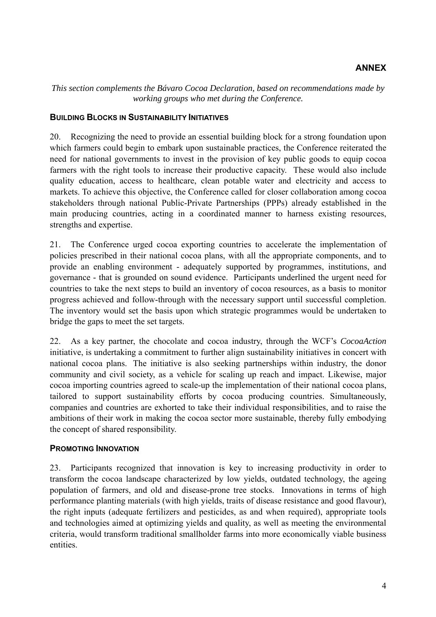## **ANNEX**

*This section complements the Bávaro Cocoa Declaration, based on recommendations made by working groups who met during the Conference.* 

#### **BUILDING BLOCKS IN SUSTAINABILITY INITIATIVES**

20. Recognizing the need to provide an essential building block for a strong foundation upon which farmers could begin to embark upon sustainable practices, the Conference reiterated the need for national governments to invest in the provision of key public goods to equip cocoa farmers with the right tools to increase their productive capacity. These would also include quality education, access to healthcare, clean potable water and electricity and access to markets. To achieve this objective, the Conference called for closer collaboration among cocoa stakeholders through national Public-Private Partnerships (PPPs) already established in the main producing countries, acting in a coordinated manner to harness existing resources, strengths and expertise.

21. The Conference urged cocoa exporting countries to accelerate the implementation of policies prescribed in their national cocoa plans, with all the appropriate components, and to provide an enabling environment - adequately supported by programmes, institutions, and governance - that is grounded on sound evidence. Participants underlined the urgent need for countries to take the next steps to build an inventory of cocoa resources, as a basis to monitor progress achieved and follow-through with the necessary support until successful completion. The inventory would set the basis upon which strategic programmes would be undertaken to bridge the gaps to meet the set targets.

22. As a key partner, the chocolate and cocoa industry, through the WCF's *CocoaAction* initiative, is undertaking a commitment to further align sustainability initiatives in concert with national cocoa plans. The initiative is also seeking partnerships within industry, the donor community and civil society, as a vehicle for scaling up reach and impact. Likewise, major cocoa importing countries agreed to scale-up the implementation of their national cocoa plans, tailored to support sustainability efforts by cocoa producing countries. Simultaneously, companies and countries are exhorted to take their individual responsibilities, and to raise the ambitions of their work in making the cocoa sector more sustainable, thereby fully embodying the concept of shared responsibility.

## **PROMOTING INNOVATION**

23. Participants recognized that innovation is key to increasing productivity in order to transform the cocoa landscape characterized by low yields, outdated technology, the ageing population of farmers, and old and disease-prone tree stocks. Innovations in terms of high performance planting materials (with high yields, traits of disease resistance and good flavour), the right inputs (adequate fertilizers and pesticides, as and when required), appropriate tools and technologies aimed at optimizing yields and quality, as well as meeting the environmental criteria, would transform traditional smallholder farms into more economically viable business entities.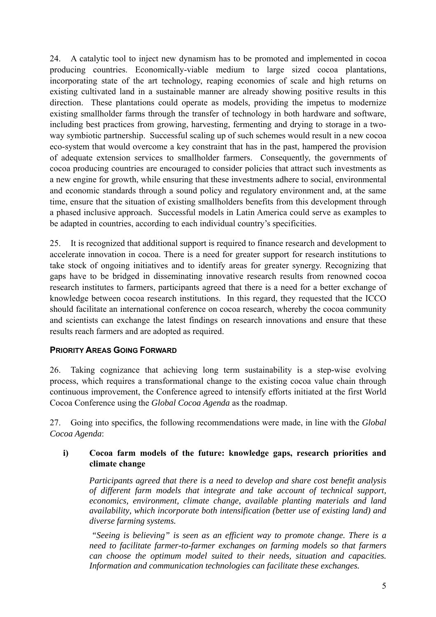24. A catalytic tool to inject new dynamism has to be promoted and implemented in cocoa producing countries. Economically-viable medium to large sized cocoa plantations, incorporating state of the art technology, reaping economies of scale and high returns on existing cultivated land in a sustainable manner are already showing positive results in this direction. These plantations could operate as models, providing the impetus to modernize existing smallholder farms through the transfer of technology in both hardware and software, including best practices from growing, harvesting, fermenting and drying to storage in a twoway symbiotic partnership. Successful scaling up of such schemes would result in a new cocoa eco-system that would overcome a key constraint that has in the past, hampered the provision of adequate extension services to smallholder farmers. Consequently, the governments of cocoa producing countries are encouraged to consider policies that attract such investments as a new engine for growth, while ensuring that these investments adhere to social, environmental and economic standards through a sound policy and regulatory environment and, at the same time, ensure that the situation of existing smallholders benefits from this development through a phased inclusive approach. Successful models in Latin America could serve as examples to be adapted in countries, according to each individual country's specificities.

25. It is recognized that additional support is required to finance research and development to accelerate innovation in cocoa. There is a need for greater support for research institutions to take stock of ongoing initiatives and to identify areas for greater synergy. Recognizing that gaps have to be bridged in disseminating innovative research results from renowned cocoa research institutes to farmers, participants agreed that there is a need for a better exchange of knowledge between cocoa research institutions. In this regard, they requested that the ICCO should facilitate an international conference on cocoa research, whereby the cocoa community and scientists can exchange the latest findings on research innovations and ensure that these results reach farmers and are adopted as required.

# **PRIORITY AREAS GOING FORWARD**

26. Taking cognizance that achieving long term sustainability is a step-wise evolving process, which requires a transformational change to the existing cocoa value chain through continuous improvement, the Conference agreed to intensify efforts initiated at the first World Cocoa Conference using the *Global Cocoa Agenda* as the roadmap.

27. Going into specifics, the following recommendations were made, in line with the *Global Cocoa Agenda*:

## **i) Cocoa farm models of the future: knowledge gaps, research priorities and climate change**

*Participants agreed that there is a need to develop and share cost benefit analysis of different farm models that integrate and take account of technical support, economics, environment, climate change, available planting materials and land availability, which incorporate both intensification (better use of existing land) and diverse farming systems.* 

 *"Seeing is believing" is seen as an efficient way to promote change. There is a need to facilitate farmer-to-farmer exchanges on farming models so that farmers can choose the optimum model suited to their needs, situation and capacities. Information and communication technologies can facilitate these exchanges.*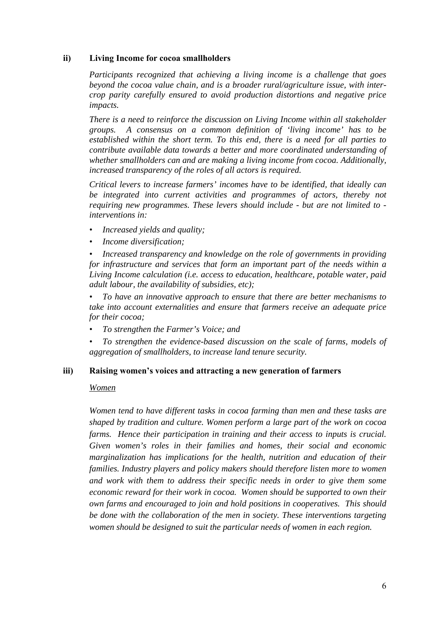#### **ii) Living Income for cocoa smallholders**

*Participants recognized that achieving a living income is a challenge that goes beyond the cocoa value chain, and is a broader rural/agriculture issue, with intercrop parity carefully ensured to avoid production distortions and negative price impacts.* 

*There is a need to reinforce the discussion on Living Income within all stakeholder groups. A consensus on a common definition of 'living income' has to be established within the short term. To this end, there is a need for all parties to contribute available data towards a better and more coordinated understanding of whether smallholders can and are making a living income from cocoa. Additionally, increased transparency of the roles of all actors is required.* 

*Critical levers to increase farmers' incomes have to be identified, that ideally can be integrated into current activities and programmes of actors, thereby not requiring new programmes. These levers should include - but are not limited to interventions in:* 

- *Increased yields and quality;*
- *Income diversification;*

*• Increased transparency and knowledge on the role of governments in providing for infrastructure and services that form an important part of the needs within a Living Income calculation (i.e. access to education, healthcare, potable water, paid adult labour, the availability of subsidies, etc);* 

*• To have an innovative approach to ensure that there are better mechanisms to take into account externalities and ensure that farmers receive an adequate price for their cocoa;* 

- *To strengthen the Farmer's Voice; and*
- *To strengthen the evidence-based discussion on the scale of farms, models of aggregation of smallholders, to increase land tenure security.*

#### **iii) Raising women's voices and attracting a new generation of farmers**

#### *Women*

*Women tend to have different tasks in cocoa farming than men and these tasks are shaped by tradition and culture. Women perform a large part of the work on cocoa farms. Hence their participation in training and their access to inputs is crucial. Given women's roles in their families and homes, their social and economic marginalization has implications for the health, nutrition and education of their families. Industry players and policy makers should therefore listen more to women and work with them to address their specific needs in order to give them some economic reward for their work in cocoa. Women should be supported to own their own farms and encouraged to join and hold positions in cooperatives. This should be done with the collaboration of the men in society. These interventions targeting women should be designed to suit the particular needs of women in each region.*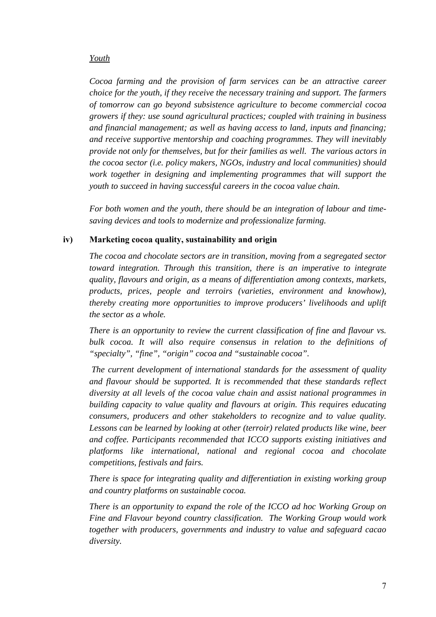#### *Youth*

*Cocoa farming and the provision of farm services can be an attractive career choice for the youth, if they receive the necessary training and support. The farmers of tomorrow can go beyond subsistence agriculture to become commercial cocoa growers if they: use sound agricultural practices; coupled with training in business and financial management; as well as having access to land, inputs and financing; and receive supportive mentorship and coaching programmes. They will inevitably provide not only for themselves, but for their families as well. The various actors in the cocoa sector (i.e. policy makers, NGOs, industry and local communities) should work together in designing and implementing programmes that will support the youth to succeed in having successful careers in the cocoa value chain.* 

*For both women and the youth, there should be an integration of labour and timesaving devices and tools to modernize and professionalize farming.*

#### **iv) Marketing cocoa quality, sustainability and origin**

*The cocoa and chocolate sectors are in transition, moving from a segregated sector toward integration. Through this transition, there is an imperative to integrate quality, flavours and origin, as a means of differentiation among contexts, markets, products, prices, people and terroirs (varieties, environment and knowhow), thereby creating more opportunities to improve producers' livelihoods and uplift the sector as a whole.* 

*There is an opportunity to review the current classification of fine and flavour vs. bulk cocoa. It will also require consensus in relation to the definitions of "specialty", "fine", "origin" cocoa and "sustainable cocoa".* 

 *The current development of international standards for the assessment of quality and flavour should be supported. It is recommended that these standards reflect diversity at all levels of the cocoa value chain and assist national programmes in building capacity to value quality and flavours at origin. This requires educating consumers, producers and other stakeholders to recognize and to value quality. Lessons can be learned by looking at other (terroir) related products like wine, beer and coffee. Participants recommended that ICCO supports existing initiatives and platforms like international, national and regional cocoa and chocolate competitions, festivals and fairs.* 

*There is space for integrating quality and differentiation in existing working group and country platforms on sustainable cocoa.* 

*There is an opportunity to expand the role of the ICCO ad hoc Working Group on Fine and Flavour beyond country classification. The Working Group would work together with producers, governments and industry to value and safeguard cacao diversity.*